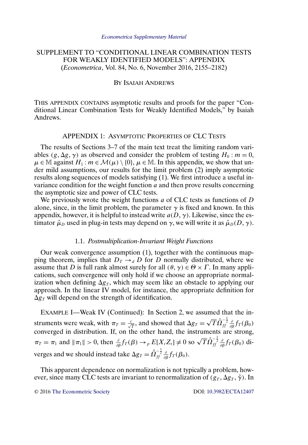# <span id="page-0-0"></span>SUPPLEMENT TO "CONDITIONAL LINEAR COMBINATION TESTS FOR WEAKLY IDENTIFIED MODELS": APPENDIX (*Econometrica*, Vol. 84, No. 6, November 2016, 2155–2182)

### BY ISAIAH ANDREWS

THIS APPENDIX CONTAINS asymptotic results and proofs for the paper "Conditional Linear Combination Tests for Weakly Identified Models," by Isaiah Andrews.

# APPENDIX 1: ASYMPTOTIC PROPERTIES OF CLC TESTS

The results of Sections 3–7 of the main text treat the limiting random variables  $(g, \Delta g, \gamma)$  as observed and consider the problem of testing  $H_0 : m = 0$ ,  $\mu \in \mathbb{M}$  against  $H_1$ :  $m \in \mathcal{M}(\mu) \setminus \{0\}, \mu \in \mathbb{M}$ . In this appendix, we show that under mild assumptions, our results for the limit problem (2) imply asymptotic results along sequences of models satisfying (1). We first introduce a useful invariance condition for the weight function  $\alpha$  and then prove results concerning the asymptotic size and power of CLC tests.

We previously wrote the weight functions  $a$  of CLC tests as functions of  $D$ alone, since, in the limit problem, the parameter  $\gamma$  is fixed and known. In this appendix, however, it is helpful to instead write  $a(D, \gamma)$ . Likewise, since the estimator  $\hat{\mu}_D$  used in plug-in tests may depend on  $\gamma$ , we will write it as  $\hat{\mu}_D(D,\gamma)$ .

# 1.1. *Postmultiplication-Invariant Weight Functions*

Our weak convergence assumption (1), together with the continuous mapping theorem, implies that  $D_T \rightarrow d D$  for D normally distributed, where we assume that D is full rank almost surely for all  $(\theta, \gamma) \in \Theta \times \Gamma$ . In many applications, such convergence will only hold if we choose an appropriate normalization when defining  $\Delta g_T$ , which may seem like an obstacle to applying our approach. In the linear IV model, for instance, the appropriate definition for  $\Delta g_T$  will depend on the strength of identification.

EXAMPLE I—Weak IV (Continued): In Section 2, we assumed that the instruments were weak, with  $\pi_T = \frac{c}{\sqrt{T}}$ , and showed that  $\Delta g_T = \sqrt{T} \hat{\Omega}_{ff}^{-\frac{1}{2}} \frac{\partial}{\partial \beta} f_T(\beta_0)$ converged in distribution. If, on the other hand, the instruments are strong,  $\pi_T = \pi_1$  and  $\|\pi_1\| > 0$ , then  $\frac{\partial}{\partial \beta} f_T(\beta) \to_p E[X_t Z_t] \neq 0$  so  $\sqrt{T} \hat{\Omega}_{ff}^{-\frac{1}{2}} \frac{\partial}{\partial \beta} f_T(\beta_0)$  diverges and we should instead take  $\Delta g_{T}=\hat{\Omega}^{-\frac{1}{2}}_{ff}\frac{\partial}{\partial\beta}f_{T}(\beta_{0}).$ 

This apparent dependence on normalization is not typically a problem, however, since many CLC tests are invariant to renormalization of  $(g_T, \Delta g_T, \hat{\gamma})$ . In

© 2016 [The Econometric Society](http://www.econometricsociety.org/) DOI: [10.3982/ECTA12407](http://dx.doi.org/10.3982/ECTA12407)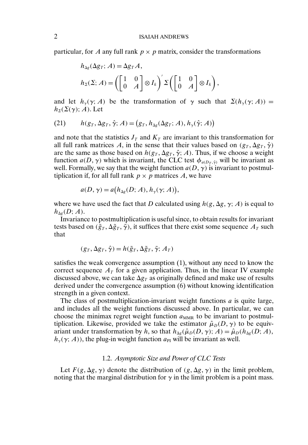<span id="page-1-0"></span>particular, for A any full rank  $p \times p$  matrix, consider the transformations

$$
h_{\Delta g}(\Delta g_T; A) = \Delta g_T A,
$$
  
\n
$$
h_{\Sigma}(\Sigma; A) = \left( \begin{bmatrix} 1 & 0 \\ 0 & A \end{bmatrix} \otimes I_k \right)' \Sigma \left( \begin{bmatrix} 1 & 0 \\ 0 & A \end{bmatrix} \otimes I_k \right),
$$

and let  $h_{\gamma}(y; A)$  be the transformation of  $\gamma$  such that  $\Sigma(h_{\gamma}(y; A)) =$  $h_{\Sigma}(\Sigma(\gamma); A)$ . Let

(21) 
$$
h(g_T, \Delta g_T, \hat{\gamma}; A) = (g_T, h_{\Delta g}(\Delta g_T; A), h_{\gamma}(\hat{\gamma}; A))
$$

and note that the statistics  $J_T$  and  $K_T$  are invariant to this transformation for all full rank matrices A, in the sense that their values based on  $(g_T, \Delta g_T, \hat{\gamma})$ are the same as those based on  $h(g_T, \Delta g_T, \hat{\gamma}; A)$ . Thus, if we choose a weight function  $a(D, \gamma)$  which is invariant, the CLC test  $\phi_{a(D_T, \hat{\gamma})}$  will be invariant as well. Formally, we say that the weight function  $a(D, \gamma)$  is invariant to postmultiplication if, for all full rank  $p \times p$  matrices A, we have

$$
a(D, \gamma) = a\big(h_{\Delta g}(D; A), h_{\gamma}(\gamma; A)\big),
$$

where we have used the fact that D calculated using  $h(g, \Delta g, \gamma; A)$  is equal to  $h_{\Delta p}(D;A).$ 

Invariance to postmultiplication is useful since, to obtain results for invariant tests based on  $(\tilde{g}_T, \Delta \tilde{g}_T, \tilde{\gamma})$ , it suffices that there exist some sequence  $A_T$  such that

$$
(g_T, \Delta g_T, \hat{\gamma}) = h(\tilde{g}_T, \Delta \tilde{g}_T, \tilde{\gamma}; A_T)
$$

satisfies the weak convergence assumption (1), without any need to know the correct sequence  $A_T$  for a given application. Thus, in the linear IV example discussed above, we can take  $\Delta g_T$  as originally defined and make use of results derived under the convergence assumption (6) without knowing identification strength in a given context.

The class of postmultiplication-invariant weight functions  $a$  is quite large, and includes all the weight functions discussed above. In particular, we can choose the minimax regret weight function  $a_{MMR}$  to be invariant to postmultiplication. Likewise, provided we take the estimator  $\hat{\mu}_D(D, \gamma)$  to be equivariant under transformation by h, so that  $h_{\Delta g}(\hat{\mu}_D(D, \gamma); A) = \hat{\mu}_D(h_{\Delta g}(D; A)),$  $h_{\gamma}(\gamma; A)$ , the plug-in weight function  $a_{\text{PI}}$  will be invariant as well.

#### 1.2. *Asymptotic Size and Power of CLC Tests*

Let  $F(g, \Delta g, \gamma)$  denote the distribution of  $(g, \Delta g, \gamma)$  in the limit problem, noting that the marginal distribution for  $\gamma$  in the limit problem is a point mass.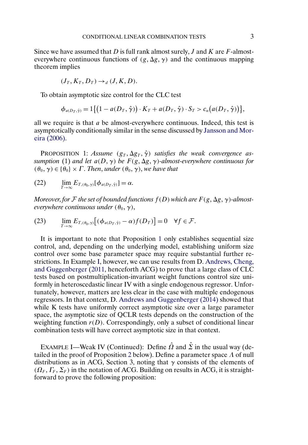<span id="page-2-0"></span>Since we have assumed that  $D$  is full rank almost surely,  $J$  and  $K$  are  $F$ -almosteverywhere continuous functions of  $(g, \Delta g, \gamma)$  and the continuous mapping theorem implies

$$
(J_T, K_T, D_T) \rightarrow_d (J, K, D).
$$

To obtain asymptotic size control for the CLC test

$$
\phi_{a(D_T,\hat{\gamma})}=1\big\{\big(1-a(D_T,\hat{\gamma})\big)\cdot K_T+a(D_T,\hat{\gamma})\cdot S_T>c_{\alpha}\big(a(D_T,\hat{\gamma})\big)\big\},\,
$$

all we require is that  $a$  be almost-everywhere continuous. Indeed, this test is asymptotically conditionally similar in the sense discussed by [Jansson and Mor](#page-16-0)[eira \(2006\).](#page-16-0)

**PROPOSITION** 1: Assume  $(g_T, \Delta g_T, \hat{\gamma})$  satisfies the weak convergence as $s$ *umption* (1) and let  $a(D, \gamma)$  be  $F(g, \Delta g, \gamma)$ -almost-everywhere continuous for  $(\theta_0, \gamma) \in {\theta_0} \times \Gamma$ . *Then*, *under*  $(\theta_0, \gamma)$ *, we have that* 

$$
(22) \qquad \lim_{T\to\infty} E_{T,(\theta_0,\gamma)}[\phi_{a(D_T,\hat{\gamma})}]=\alpha.
$$

Moreover, for F the set of bounded functions  $f(D)$  which are  $F(g, \Delta g, \gamma)$ -almost $everywhere\ continuous\ under\ (\theta_0,\gamma),$ 

(23) 
$$
\lim_{T\to\infty} E_{T,(\theta_0,\gamma)}[(\phi_{a(D_T,\hat{\gamma})}-\alpha)f(D_T)]=0 \quad \forall f\in\mathcal{F}.
$$

It is important to note that Proposition 1 only establishes sequential size control, and, depending on the underlying model, establishing uniform size control over some base parameter space may require substantial further restrictions. In Example [I,](#page-0-0) however, we can use results from D. [Andrews, Cheng,](#page-15-0) [and Guggenberger](#page-15-0) [\(2011,](#page-15-0) henceforth ACG) to prove that a large class of CLC tests based on postmultiplication-invariant weight functions control size uniformly in heteroscedastic linear IV with a single endogenous regressor. Unfortunately, however, matters are less clear in the case with multiple endogenous regressors. In that context, D. [Andrews and Guggenberger \(2014\)](#page-15-0) showed that while K tests have uniformly correct asymptotic size over a large parameter space, the asymptotic size of QCLR tests depends on the construction of the weighting function  $r(D)$ . Correspondingly, only a subset of conditional linear combination tests will have correct asymptotic size in that context.

EXAMPLE I—Weak IV (Continued): Define  $\hat{\Omega}$  and  $\hat{\Sigma}$  in the usual way (de-tailed in the proof of Proposition [2](#page-3-0) below). Define a parameter space  $\Lambda$  of null distributions as in ACG, Section 3, noting that  $\gamma$  consists of the elements of  $(\Omega_F, \Gamma_F, \Sigma_F)$  in the notation of ACG. Building on results in ACG, it is straightforward to prove the following proposition: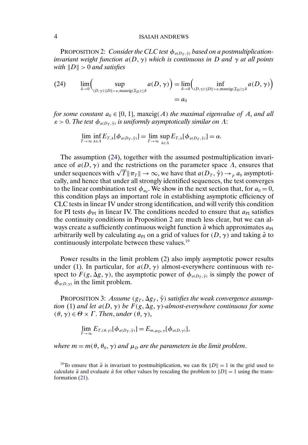<span id="page-3-0"></span>PROPOSITION 2: *Consider the CLC test*  $\phi_{a(D_T, \hat{\gamma})}$  *based on a postmultiplicationinvariant weight function* a(D- γ) *which is continuous in* D *and* γ *at all points with*  $||D|| > 0$  *and satisfies* 

(24) 
$$
\lim_{\delta \to 0} \Biggl( \sup_{(D,\gamma):||D|| > \varepsilon, \text{maxeig}(\Sigma_D) \le \delta} a(D,\gamma) \Biggr) = \lim_{\delta \to 0} \Biggl( \inf_{(D,\gamma):||D|| > \varepsilon, \text{maxeig}(\Sigma_D) \le \delta} a(D,\gamma) \Biggr) = a_0
$$

*for some constant*  $a_0 \in [0, 1]$ , maxeig( $A$ ) *the maximal eigenvalue of*  $A$ , and all  $\varepsilon > 0$ . The test  $\phi_{a(D_T, \hat{\gamma})}$  is uniformly asymptotically similar on  $\Lambda$ :

$$
\lim_{T\to\infty}\inf_{\lambda\in\Lambda}E_{T,\lambda}[\phi_{a(D_T,\hat{\gamma})}]=\lim_{T\to\infty}\sup_{\lambda\in\Lambda}E_{T,\lambda}[\phi_{a(D_T,\hat{\gamma})}]=\alpha.
$$

The assumption (24), together with the assumed postmultiplication invariance of  $a(D, \gamma)$  and the restrictions on the parameter space  $\Lambda$ , ensures that ance of  $a(D, \gamma)$  and the restrictions on the parameter space  $\Lambda$ , ensures that  $a(D_T, \hat{\gamma}) \to_{p} a_0$  asymptotically, and hence that under all strongly identified sequences, the test converges to the linear combination test  $\phi_{a_0}$ . We show in the next section that, for  $a_0 = 0$ , this condition plays an important role in establishing asymptotic efficiency of CLC tests in linear IV under strong identification, and will verify this condition for PI tests  $\phi_{PI}$  in linear IV. The conditions needed to ensure that  $a_{PI}$  satisfies the continuity conditions in Proposition 2 are much less clear, but we can always create a sufficiently continuous weight function  $\tilde{a}$  which approximates  $a_{PI}$ arbitrarily well by calculating  $a_{PI}$  on a grid of values for  $(D, \gamma)$  and taking  $\tilde{a}$  to continuously interpolate between these values.<sup>19</sup>

Power results in the limit problem (2) also imply asymptotic power results under (1). In particular, for  $a(D, \gamma)$  almost-everywhere continuous with respect to  $F(g, \Delta g, \gamma)$ , the asymptotic power of  $\phi_{a(D_T, \hat{\gamma})}$  is simply the power of  $\phi_{a(D,\gamma)}$  in the limit problem.

PROPOSITION 3: Assume  $(g_T, \Delta g_T, \hat{\gamma})$  satisfies the weak convergence assumption (1) and let a(D, γ) be  $F(g, \Delta g, \gamma)$ -almost-everywhere continuous for some  $(\theta, \gamma) \in \Theta \times \Gamma$ . *Then*, *under*  $(\theta, \gamma)$ ,

$$
\lim_{T\to\infty} E_{T,(\theta,\gamma)}[\phi_{a(D_T,\hat{\gamma})}]=E_{m,\mu_D,\gamma}[\phi_{a(D,\gamma)}],
$$

 $where m = m(\theta, \theta_0, \gamma)$  and  $\mu_D$  are the parameters in the limit problem.

<sup>19</sup>To ensure that  $\tilde{a}$  is invariant to postmultiplication, we can fix  $||D|| = 1$  in the grid used to calculate  $\tilde{a}$  and evaluate  $\tilde{a}$  for other values by rescaling the problem to  $||D|| = 1$  using the transformation [\(21\)](#page-1-0).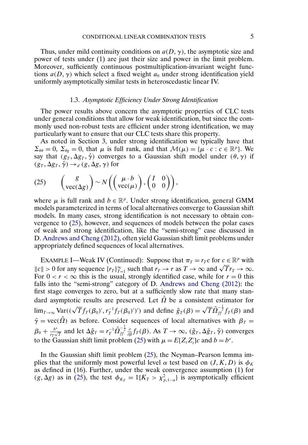<span id="page-4-0"></span>Thus, under mild continuity conditions on  $a(D, \gamma)$ , the asymptotic size and power of tests under (1) are just their size and power in the limit problem. Moreover, sufficiently continuous postmultiplication-invariant weight functions  $a(D, \gamma)$  which select a fixed weight  $a_0$  under strong identification yield uniformly asymptotically similar tests in heteroscedastic linear IV.

#### 1.3. *Asymptotic Efficiency Under Strong Identification*

The power results above concern the asymptotic properties of CLC tests under general conditions that allow for weak identification, but since the commonly used non-robust tests are efficient under strong identification, we may particularly want to ensure that our CLC tests share this property.

As noted in Section 3, under strong identification we typically have that  $\Sigma_{\theta\theta} = 0$ ,  $\Sigma_{\theta g} = 0$ , that  $\mu$  is full rank, and that  $\mathcal{M}(\mu) = {\mu \cdot c : c \in \mathbb{R}^p}$ . We say that  $(g_T, \Delta g_T, \hat{\gamma})$  converges to a Gaussian shift model under  $(\theta, \gamma)$  if  $(g_T, \Delta g_T, \hat{\gamma}) \rightarrow_d (g, \Delta g, \gamma)$  for

(25) 
$$
\begin{pmatrix} g \\ \text{vec}(\Delta g) \end{pmatrix} \sim N \left( \begin{pmatrix} \mu \cdot b \\ \text{vec}(\mu) \end{pmatrix}, \begin{pmatrix} I & 0 \\ 0 & 0 \end{pmatrix} \right),
$$

where  $\mu$  is full rank and  $b \in \mathbb{R}^p$ . Under strong identification, general GMM models parameterized in terms of local alternatives converge to Gaussian shift models. In many cases, strong identification is not necessary to obtain convergence to (25), however, and sequences of models between the polar cases of weak and strong identification, like the "semi-strong" case discussed in D. [Andrews and Cheng \(2012\),](#page-15-0) often yield Gaussian shift limit problems under appropriately defined sequences of local alternatives.

EXAMPLE I—Weak IV (Continued): Suppose that  $\pi_T = r_T c$  for  $c \in \mathbb{R}^p$  with EXAMPLE 1—weak IV (Continued): Suppose that  $\pi_T = r_T c$  for  $c \in \mathbb{R}^r$  with  $||c|| > 0$  for any sequence  $\{r_T\}_{T=1}^{\infty}$  such that  $r_T \to r$  as  $T \to \infty$  and  $\sqrt{T}r_T \to \infty$ . For  $0 < r < \infty$  this is the usual, strongly identified case, while for  $r = 0$  this falls into the "semi-strong" category of D. [Andrews and Cheng \(2012\):](#page-15-0) the first stage converges to zero, but at a sufficiently slow rate that many standard asymptotic results are preserved. Let  $\tilde{\Omega}$  be a consistent estimator for  $\lim_{T\to\infty} \text{Var}((\sqrt{T}f_T(\beta_0)', r_T^{-1}f_T(\beta_0)'))')$  and define  $\tilde{g}_T(\beta) = \sqrt{T}\tilde{\Omega}_{ff}^{-\frac{1}{2}}f_T(\beta)$  and  $\tilde{\gamma}$  = vec( $\tilde{\Omega}$ ) as before. Consider sequences of local alternatives with  $\beta_T$  =  $\beta_0 + \frac{b^*}{r_T \sqrt{T}}$  and let  $\Delta \tilde{g}_T = r_T^{-1} \tilde{\Omega}_{ff}^{-\frac{1}{2}} \frac{\partial}{\partial \beta} f_T(\beta)$ . As  $T \to \infty$ ,  $(\tilde{g}_T, \Delta \tilde{g}_T, \tilde{\gamma})$  converges to the Gaussian shift limit problem (25) with  $\mu = E[Z_i Z'_i]c$  and  $b = b^*$ .

In the Gaussian shift limit problem (25), the Neyman–Pearson lemma implies that the uniformly most powerful level  $\alpha$  test based on  $(J, K, D)$  is  $\phi_K$ as defined in (16). Further, under the weak convergence assumption (1) for  $(g, \Delta g)$  as in (25), the test  $\phi_{K_T} = 1\{K_T > \chi^2_{p,1-\alpha}\}\)$  is asymptotically efficient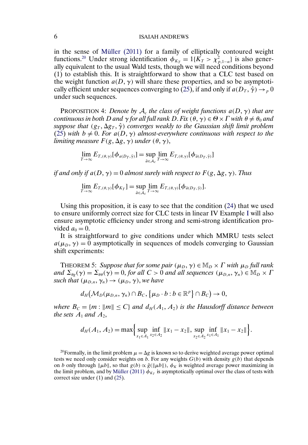<span id="page-5-0"></span>in the sense of [Müller \(2011\)](#page-16-0) for a family of elliptically contoured weight functions.<sup>20</sup> Under strong identification  $\phi_{K_T} = 1\{K_T > \chi^2_{p,1-\alpha}\}\)$  is also generally equivalent to the usual Wald tests, though we will need conditions beyond (1) to establish this. It is straightforward to show that a CLC test based on the weight function  $a(D, \gamma)$  will share these properties, and so be asymptoti-cally efficient under sequences converging to [\(25\)](#page-4-0), if and only if  $a(D_T, \hat{\gamma}) \to_p 0$ under such sequences.

**PROPOSITION 4:** Denote by  $A_c$  the class of weight functions  $a(D, \gamma)$  that are  $\alpha$  *continuous in both*  $D$  *and*  $\gamma$  *for all full rank*  $D.$  *Fix*  $(\theta, \gamma) \in \Theta \times \Gamma$  *with*  $\theta \neq \theta_0$  *and*  $suppose that$  ( $g_T$ ,  $\Delta g_T$ ,  $\hat{\gamma}$ ) *converges weakly to the Gaussian shift limit problem* [\(25\)](#page-4-0) with  $b \neq 0$ . For  $a(D, \gamma)$  almost-everywhere continuous with respect to the limiting measure  $F(g,\Delta g,\gamma)$  under  $(\theta,\gamma),$ 

$$
\lim_{T\to\infty} E_{T,(\theta,\gamma)}[\phi_{a(D_T,\hat{\gamma})}] = \sup_{\tilde{a}\in\mathcal{A}_c} \lim_{T\to\infty} E_{T,(\theta,\gamma)}[\phi_{\tilde{a}(D_T,\hat{\gamma})}]
$$

*if and only if a*( $D, \gamma$ ) = 0 *almost surely with respect to*  $F(g, \Delta g, \gamma)$ . *Thus* 

$$
\lim_{T\to\infty} E_{T,(\theta,\gamma)}[\phi_{K_T}] = \sup_{\tilde{a}\in\mathcal{A}_c} \lim_{T\to\infty} E_{T,(\theta,\gamma)}[\phi_{\tilde{a}(D_T,\hat{\gamma})}].
$$

Using this proposition, it is easy to see that the condition [\(24\)](#page-3-0) that we used to ensure uniformly correct size for CLC tests in linear IV Example [I](#page-0-0) will also ensure asymptotic efficiency under strong and semi-strong identification provided  $a_0 = 0$ .

It is straightforward to give conditions under which MMRU tests select  $a(\mu_D, \gamma) = 0$  asymptotically in sequences of models converging to Gaussian shift experiments:

**THEOREM 5:** Suppose that for some pair  $(\mu_D, \gamma) \in M_D \times \Gamma$  with  $\mu_D$  full rank and  $\Sigma_{\theta g}(\gamma) = \Sigma_{\theta \theta}(\gamma) = 0$ , *for all*  $C > 0$  *and all sequences*  $(\mu_{D,n}, \gamma_n) \in M_D \times I$ *such that*  $(\mu_{D,n}, \gamma_n) \rightarrow (\mu_D, \gamma)$ , *we have* 

$$
d_H(\mathcal{M}_D(\mu_{D,n},\gamma_n)\cap B_C,\{\mu_D\cdot b: b\in\mathbb{R}^p\}\cap B_C)\to 0,
$$

*where*  $B_C = \{m : ||m|| \le C\}$  and  $d_H(A_1, A_2)$  *is the Hausdorff distance between the sets*  $A_1$  *and*  $A_2$ ,

$$
d_H(A_1, A_2) = \max \Biggl\{ \sup_{x_1 \in A_1} \inf_{x_2 \in A_2} ||x_1 - x_2||, \sup_{x_2 \in A_2} \inf_{x_1 \in A_1} ||x_1 - x_2|| \Biggr\}.
$$

<sup>20</sup>Formally, in the limit problem  $\mu = \Delta g$  is known so to derive weighted average power optimal tests we need only consider weights on b. For any weights  $G(b)$  with density  $g(b)$  that depends on b only through  $\|\mu b\|$ , so that  $g(b) \propto \tilde{g}(\|\mu b\|)$ ,  $\phi_K$  is weighted average power maximizing in the limit problem, and by [Müller \(2011\)](#page-16-0)  $\phi_{K_T}$  is asymptotically optimal over the class of tests with correct size under (1) and [\(25\)](#page-4-0).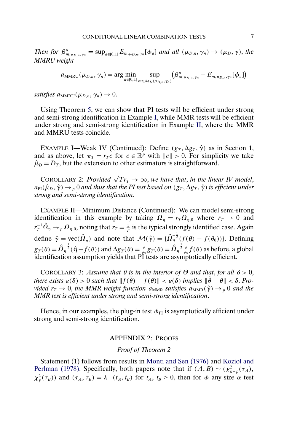<span id="page-6-0"></span>*Then for*  $\beta_{m,\mu_{D,n},\gamma_n}^u = \sup_{a \in [0,1]} E_{m,\mu_{D,n},\gamma_n}[\phi_a]$  *and all*  $(\mu_{D,n}, \gamma_n) \to (\mu_D, \gamma)$ , the *MMRU weight*

> $a_{\text{MMRU}}(\mu_{D,n}, \gamma_n) = \arg\min_{a \in [0,1]} \sup_{m \in \mathcal{M}_D(\mu_D)}$  $m \in \mathcal{M}_D(\mu_{D,n}, \gamma_n)$  $\left(\beta^u_{m, \mu_{D,n}, \gamma_n}-E_{m, \mu_{D,n}, \gamma_n}[\phi_a]\right)$

satisfies  $a_{\text{MMRU}}(\mu_{D,n}, \gamma_n) \to 0$ .

Using Theorem [5,](#page-5-0) we can show that PI tests will be efficient under strong and semi-strong identification in Example [I,](#page-0-0) while MMR tests will be efficient under strong and semi-strong identification in Example II, where the MMR and MMRU tests coincide.

EXAMPLE I—Weak IV (Continued): Define  $(g_T, \Delta g_T, \hat{\gamma})$  as in Section 1, and as above, let  $\pi_T = r_T c$  for  $c \in \mathbb{R}^p$  with  $||c|| > 0$ . For simplicity we take  $\hat{\mu}_D = D_T$ , but the extension to other estimators is straightforward.

COROLLARY 2: *Provided*  $\sqrt{T}r_T \to \infty$ , we have that, in the linear IV model,  $a_{\rm PI}(\hat\mu_D,\hat\gamma)\to_p 0$  and thus that the PI test based on  $(g_T,\Delta g_T,\hat\gamma)$  is efficient under *strong and semi-strong identification*.

EXAMPLE II—Minimum Distance (Continued): We can model semi-strong identification in this example by taking  $\Omega_{\eta} = r_T \Omega_{\eta,0}$  where  $r_T \to 0$  and  $r_T^{-1}\hat\Omega_\eta\to_p\Omega_{\eta,0}$ , noting that  $r_T=\frac{1}{T}$  is the typical strongly identified case. Again define  $\hat{\gamma} = \text{vec}(\hat{\Omega}_{\eta})$  and note that  $\mathcal{M}(\hat{\gamma}) = {\{\hat{\Omega}_{\eta}^{-\frac{1}{2}}(f(\theta) - f(\theta_0))\}}$ . Defining  $g_T(\theta) = \hat{\Omega}_\eta^{-\frac{1}{2}}(\hat{\eta} - f(\theta))$  and  $\Delta g_T(\theta) = \frac{\partial}{\partial \theta}g_T(\theta) = \hat{\Omega}_\eta^{-\frac{1}{2}}\frac{\partial}{\partial \theta}f(\theta)$  as before, a global identification assumption yields that PI tests are asymptotically efficient.

COROLLARY 3: *Assume that*  $\theta$  *is in the interior of*  $\Theta$  *and that, for all*  $\delta > 0$ *, there exists*  $\varepsilon(\delta) > 0$  *such that*  $|| f(\tilde{\theta}) - f(\theta) || < \varepsilon(\delta)$  *implies*  $|| \tilde{\theta} - \theta || < \delta$ . *Provided*  $r_T \rightarrow 0$ , *the MMR weight function*  $a_{MMR}$  *satisfies*  $a_{MMR}(\hat{\gamma}) \rightarrow_p 0$  *and the MMR test is efficient under strong and semi-strong identification*.

Hence, in our examples, the plug-in test  $\phi_{PI}$  is asymptotically efficient under strong and semi-strong identification.

# APPENDIX 2: PROOFS

# *Proof of Theorem 2*

Statement (1) follows from results in [Monti and Sen \(1976\)](#page-16-0) and [Koziol and](#page-16-0) [Perlman \(1978\).](#page-16-0) Specifically, both papers note that if  $(A, B) \sim (\chi^2_{k-p}(\tau_A),$  $\chi_p^2(\tau_B)$ ) and  $(\tau_A, \tau_B) = \lambda \cdot (t_A, t_B)$  for  $t_A, t_B \ge 0$ , then for  $\phi$  any size  $\alpha$  test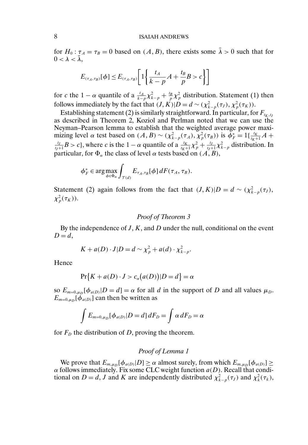for  $H_0: \tau_A = \tau_B = 0$  based on  $(A, B)$ , there exists some  $\overline{\lambda} > 0$  such that for  $0 < \lambda < \lambda$ ,

$$
E_{(\tau_A, \tau_B)}[\phi] \le E_{(\tau_A, \tau_B)} \left[ 1 \left\{ \frac{t_A}{k - p} A + \frac{t_B}{p} B > c \right\} \right]
$$

for c the 1 –  $\alpha$  quantile of a  $\frac{t_A}{k-p} \chi^2_{k-p} + \frac{t_B}{p} \chi^2_{p}$  distribution. Statement (1) then follows immediately by the fact that  $(J, K)|D = d \sim (\chi^2_{k-p}(\tau_J), \chi^2_p(\tau_K)).$ 

Establishing statement (2) is similarly straightforward. In particular, for  $F_{t_K,t_J}$ as described in Theorem 2, Koziol and Perlman noted that we can use the Neyman–Pearson lemma to establish that the weighted average power maximizing level  $\alpha$  test based on  $(A, B) \sim (\chi^2_{k-p}(\tau_A), \chi^2_p(\tau_B))$  is  $\phi_F^* = 1\{\frac{t_K}{t_K+1}A + \frac{t_J}{t_K+1}B > c\}$  where c is the  $1-\alpha$  quantile of a  $\frac{t_K}{\sqrt{2}} \sim \frac{t_J}{\sqrt{2}}$  distribution. In  $\frac{t_f}{t_f+1}B > c$ , where c is the  $1 - \alpha$  quantile of a  $\frac{t_K}{t_K+1}\chi_p^2 + \frac{t_f}{t_f+1}\chi_{k-p}^2$  distribution. In particular, for  $\Phi_\alpha$  the class of level  $\alpha$  tests based on  $(A,B),$ 

$$
\phi_F^* \in \arg\max_{\phi \in \Phi_\alpha} \int_{\mathcal{T}(d)} E_{\tau_A, \tau_B}[\phi] dF(\tau_A, \tau_B).
$$

Statement (2) again follows from the fact that  $(J, K)|D = d \sim (\chi^2_{k-p}(\tau_J),$  $\chi_p^2(\tau_K)).$ 

# *Proof of Theorem 3*

By the independence of  $J, K$ , and  $D$  under the null, conditional on the event  $D=d,$ 

$$
K + a(D) \cdot J|D = d \sim \chi_p^2 + a(d) \cdot \chi_{k-p}^2.
$$

Hence

$$
\Pr\{K + a(D) \cdot J > c_{\alpha}(a(D)) | D = d\} = \alpha
$$

so  $E_{m=0,\mu_D}[\phi_{a(D)}|D=d] = \alpha$  for all d in the support of D and all values  $\mu_D$ .  $E_{m=0,\mu_D}[\phi_{a(D)}]$  can then be written as

$$
\int E_{m=0,\mu_D}[\phi_{a(D)}|D=d] dF_D = \int \alpha dF_D = \alpha
$$

for  $F<sub>D</sub>$  the distribution of D, proving the theorem.

### *Proof of Lemma 1*

We prove that  $E_{m,\mu_D}[\phi_{a(D)}|D] \ge \alpha$  almost surely, from which  $E_{m,\mu_D}[\phi_{a(D)}] \ge$  $\alpha$  follows immediately. Fix some CLC weight function  $a(D)$ . Recall that conditional on  $D = d$ , J and K are independently distributed  $\chi^2_{k-p}(\tau_J)$  and  $\chi^2_k(\tau_k)$ ,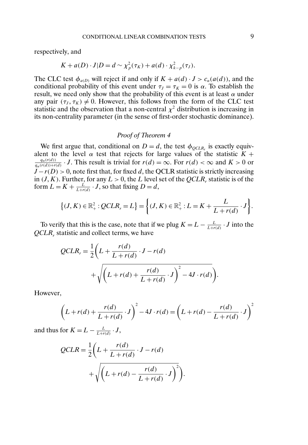respectively, and

$$
K + a(D) \cdot J|D = d \sim \chi_p^2(\tau_K) + a(d) \cdot \chi_{k-p}^2(\tau_J).
$$

The CLC test  $\phi_{a(D)}$  will reject if and only if  $K + a(d) \cdot J > c_{\alpha}(a(d))$ , and the conditional probability of this event under  $\tau_J = \tau_K = 0$  is  $\alpha$ . To establish the result, we need only show that the probability of this event is at least  $\alpha$  under any pair  $(\tau_J, \tau_K) \neq 0$ . However, this follows from the form of the CLC test statistic and the observation that a non-central  $\chi^2$  distribution is increasing in its non-centrality parameter (in the sense of first-order stochastic dominance).

#### *Proof of Theorem 4*

We first argue that, conditional on  $D = d$ , the test  $\phi_{QCLR_r}$  is exactly equivalent to the level  $\alpha$  test that rejects for large values of the statistic  $K +$  $\frac{q_{\alpha}(r(d))}{q_{\alpha}(r(d))+r(d)}$  · J. This result is trivial for  $r(d) = \infty$ . For  $r(d) < \infty$  and  $K > 0$  or  $J - r(D) > 0$ , note first that, for fixed d, the QCLR statistic is strictly increasing in  $(J, K)$ . Further, for any  $L > 0$ , the L level set of the  $QCLR$ , statistic is of the form  $L = K + \frac{L}{L + r(d)} \cdot J$ , so that fixing  $D = d$ ,

$$
\{(J,K)\in\mathbb{R}^2_+ : QCLR_r = L\} = \bigg\{(J,K)\in\mathbb{R}^2_+ : L = K + \frac{L}{L+r(d)} \cdot J\bigg\}.
$$

To verify that this is the case, note that if we plug  $K = L - \frac{L}{L + r(d)} \cdot J$  into the *QCLR*, statistic and collect terms, we have

$$
QCLR_r = \frac{1}{2} \left( L + \frac{r(d)}{L + r(d)} \cdot J - r(d) + \sqrt{\left( L + r(d) + \frac{r(d)}{L + r(d)} \cdot J \right)^2 - 4J \cdot r(d)} \right).
$$

However,

$$
\left(L + r(d) + \frac{r(d)}{L + r(d)} \cdot J\right)^2 - 4J \cdot r(d) = \left(L + r(d) - \frac{r(d)}{L + r(d)} \cdot J\right)^2
$$

and thus for  $K = L - \frac{L}{L + r(d)} \cdot J$ ,

$$
QCLR = \frac{1}{2}\left(L + \frac{r(d)}{L + r(d)} \cdot J - r(d)\n+ \sqrt{\left(L + r(d) - \frac{r(d)}{L + r(d)} \cdot J\right)^2}\right).
$$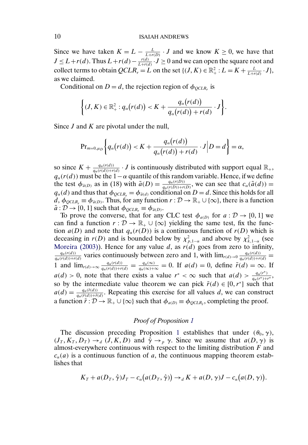<span id="page-9-0"></span>Since we have taken  $K = L - \frac{L}{L + r(D)} \cdot J$  and we know  $K \ge 0$ , we have that  $J \leq L + r(d)$ . Thus  $L + r(d) - \frac{r(d)}{L + r(d)} \cdot J \geq 0$  and we can open the square root and collect terms to obtain  $QCLR_r = L$  on the set  $\{(J, K) \in \mathbb{R}^2_+ : L = K + \frac{L}{L + r(d)} \cdot J\}$ , as we claimed.

Conditional on  $D = d$ , the rejection region of  $\phi_{OCLR_r}$  is

$$
\bigg\{(J,K)\in\mathbb{R}^2_+:q_\alpha(r(d))
$$

Since *J* and *K* are pivotal under the null,

$$
\mathrm{Pr}_{m=0,\mu_D}\bigg\{q_\alpha\big(r(d)\big)
$$

so since  $K + \frac{q_{\alpha}(r(d))}{q_{\alpha}(r(d)) + r(d)} \cdot J$  is continuously distributed with support equal  $\mathbb{R}_+$ ,  $q_\alpha(r(d))$  must be the 1– $\alpha$  quantile of this random variable. Hence, if we define the test  $\phi_{\tilde{a}(D)}$  as in (18) with  $\tilde{a}(D) = \frac{q_{\alpha}(r(D))}{q_{\alpha}(r(D)) + r(D)}$ , we can see that  $c_{\alpha}(\tilde{a}(d)) =$  $q_{\alpha}(d)$  and thus that  $\phi_{QCLR_r} = \phi_{\tilde{a}(d)}$  conditional on  $D = d$ . Since this holds for all  $d, \phi_{QCLR_r} \equiv \phi_{\tilde{a}(D)}$ . Thus, for any function  $r : \mathcal{D} \to \mathbb{R}_+ \cup \{\infty\}$ , there is a function  $\tilde{a}: \mathcal{D} \to [0, 1]$  such that  $\phi_{QCLR_r} \equiv \phi_{\tilde{a}(D)}$ .

To prove the converse, that for any CLC test  $\phi_{a(D)}$  for  $a: \mathcal{D} \to [0, 1]$  we can find a function  $r : \mathcal{D} \to \mathbb{R}_+ \cup \{ \infty \}$  yielding the same test, fix the function  $a(D)$  and note that  $q_{\alpha}(r(D))$  is a continuous function of  $r(D)$  which is deceasing in  $r(D)$  and is bounded below by  $\chi^2_{p,1-\alpha}$  and above by  $\chi^2_{k,1-\alpha}$  (see [Moreira \(2003\)\)](#page-16-0). Hence for any value d, as  $r(d)$  goes from zero to infinity,  $\frac{q_{\alpha}(r(d))}{q_{\alpha}(r(d))+r(d)}$  varies continuously between zero and 1, with  $\lim_{r(d)\to 0} \frac{q_{\alpha}(r(d))}{q_{\alpha}(r(d))+r(d)}$ 1 and  $\lim_{r(d)\to\infty} \frac{q_a(r(d))}{q_a(r(d))+r(d)} = \frac{q_a(\infty)}{q_a(\infty)+\infty} = 0$ . If  $a(d) = 0$ , define  $\tilde{r}(d) = \infty$ . If  $a(d) > 0$ , note that there exists a value  $r^* < \infty$  such that  $a(d) > \frac{q_{\alpha}(r^*)}{q_{\alpha}(r^*)+r^*}$ , so by the intermediate value theorem we can pick  $\tilde{r}(d) \in [0, r^*]$  such that  $a(d) = \frac{q_a(\tilde{r}(d))}{q_a(\tilde{r}(d)) + \tilde{r}(d)}$ . Repeating this exercise for all values d, we can construct a function  $\tilde{r}: \mathcal{D} \to \mathbb{R}_+ \cup \{\infty\}$  such that  $\phi_{a(D)} \equiv \phi_{QCLR_{\tilde{r}}},$  completing the proof.

# *Proof of Proposition [1](#page-2-0)*

The discussion preceding Proposition [1](#page-2-0) establishes that under  $(\theta_0, \gamma)$ ,  $(J_T, K_T, D_T) \rightarrow_d (J, K, D)$  and  $\hat{\gamma} \rightarrow_p \gamma$ . Since we assume that  $a(D, \gamma)$  is almost-everywhere continuous with respect to the limiting distribution  $F$  and  $c<sub>\alpha</sub>(a)$  is a continuous function of a, the continuous mapping theorem establishes that

$$
K_T + a(D_T, \hat{\gamma})J_T - c_{\alpha}(a(D_T, \hat{\gamma})) \rightarrow_d K + a(D, \gamma)J - c_{\alpha}(a(D, \gamma)).
$$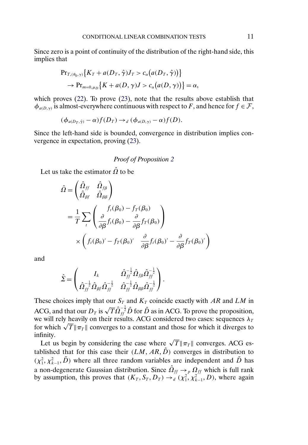Since zero is a point of continuity of the distribution of the right-hand side, this implies that

$$
\Pr_{T, (\theta_0, \gamma)} \{ K_T + a(D_T, \hat{\gamma}) J_T > c_\alpha (a(D_T, \hat{\gamma})) \}
$$
  
\n
$$
\to \Pr_{m=0, \mu_D} \{ K + a(D, \gamma) J > c_\alpha (a(D, \gamma)) \} = \alpha,
$$

which proves [\(22\)](#page-2-0). To prove [\(23\)](#page-2-0), note that the results above establish that  $\phi_{a(D,\gamma)}$  is almost-everywhere continuous with respect to F, and hence for  $f \in \mathcal{F}$ ,

$$
(\phi_{a(D_T,\hat{\gamma})}-\alpha)f(D_T)\to_d(\phi_{a(D,\gamma)}-\alpha)f(D).
$$

Since the left-hand side is bounded, convergence in distribution implies convergence in expectation, proving [\(23\)](#page-2-0).

# *Proof of Proposition [2](#page-3-0)*

Let us take the estimator  $\hat{\Omega}$  to be

$$
\hat{\Omega} = \begin{pmatrix} \hat{\Omega}_{ff} & \hat{\Omega}_{f\beta} \\ \hat{\Omega}_{\beta f} & \hat{\Omega}_{\beta \beta} \end{pmatrix}
$$
  
=  $\frac{1}{T} \sum_{t} \left( \frac{f_t(\beta_0) - f_T(\beta_0)}{\partial \beta} f_t(\beta_0) - \frac{\partial}{\partial \beta} f_T(\beta_0) \right)$   
 $\times \left( f_t(\beta_0)' - f_T(\beta_0)' \frac{\partial}{\partial \beta} f_t(\beta_0)' - \frac{\partial}{\partial \beta} f_T(\beta_0)' \right)$ 

and

$$
\hat{\mathbf{\Sigma}}\!=\!\begin{pmatrix} I_k & \hat{\bm{\Omega}}_{ff}^{-\frac{1}{2}}\hat{\bm{\Omega}}_{f\beta}\hat{\bm{\Omega}}_{ff}^{-\frac{1}{2}} \\ \hat{\bm{\Omega}}_{ff}^{-\frac{1}{2}}\hat{\bm{\Omega}}_{\beta f}\hat{\bm{\Omega}}_{ff}^{-\frac{1}{2}} & \hat{\bm{\Omega}}_{ff}^{-\frac{1}{2}}\hat{\bm{\Omega}}_{\beta \beta}\hat{\bm{\Omega}}_{ff}^{-\frac{1}{2}} \end{pmatrix}.
$$

These choices imply that our  $S_T$  and  $K_T$  coincide exactly with AR and LM in ACG, and that our  $D_T$  is  $\sqrt{T} \hat{Q}_{ff}^{-\frac{1}{2}} \hat{D}$  for  $\hat{D}$  as in ACG. To prove the proposition, we will rely heavily on their results. ACG considered two cases: sequences  $\lambda_I$ we will rely neavily on their results. ACG considered two cases: sequences  $\lambda_T$  for which  $\sqrt{T} || \pi_T ||$  converges to a constant and those for which it diverges to infinity.

linity.<br>Let us begin by considering the case where  $\sqrt{T} \|\pi_T\|$  converges. ACG established that for this case their  $(LM, AR, \hat{D})$  converges in distribution to  $(\chi_1^2, \chi_{k-1}^2, \tilde{D})$  where all three random variables are independent and  $\tilde{D}$  has a non-degenerate Gaussian distribution. Since  $\hat{\Omega}_{ff} \rightarrow_{p} \Omega_{ff}$  which is full rank by assumption, this proves that  $(K_T, S_T, D_T) \rightarrow_d (\chi_1^2, \chi_{k-1}^2, D)$ , where again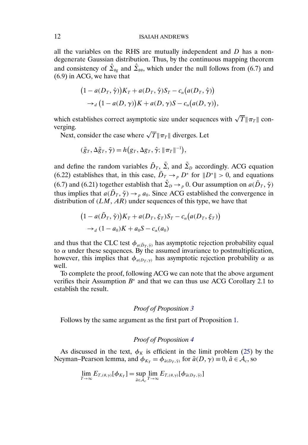all the variables on the RHS are mutually independent and  $D$  has a nondegenerate Gaussian distribution. Thus, by the continuous mapping theorem and consistency of  $\hat{\Sigma}_{\theta g}$  and  $\hat{\Sigma}_{\theta \theta}$ , which under the null follows from (6.7) and (6.9) in ACG, we have that

$$
(1 - a(D_T, \hat{\gamma}))K_T + a(D_T, \hat{\gamma})S_T - c_{\alpha}(a(D_T, \hat{\gamma}))
$$
  
\n
$$
\rightarrow_d (1 - a(D, \gamma))K + a(D, \gamma)S - c_{\alpha}(a(D, \gamma)),
$$

which establishes correct asymptotic size under sequences with  $\sqrt{T}\|\pi_T\|$  converging.

rging.<br>Next, consider the case where  $\sqrt{T} \|\pi_T\|$  diverges. Let

$$
(\tilde{g}_T, \Delta \tilde{g}_T, \tilde{\gamma}) = h(g_T, \Delta g_T, \hat{\gamma}; ||\pi_T||^{-1}),
$$

and define the random variables  $\tilde{D}_T$ ,  $\tilde{\Sigma}$ , and  $\tilde{\Sigma}_D$  accordingly. ACG equation (6.22) establishes that, in this case,  $\tilde{D}_T \rightarrow_{p} D^*$  for  $||D^*|| > 0$ , and equations (6.7) and (6.21) together establish that  $\tilde{\Sigma}_D \to_p 0$ . Our assumption on  $a(\tilde{D}_T, \tilde{\gamma})$ thus implies that  $a(\tilde{D}_T, \tilde{\gamma}) \to_{p} a_0$ . Since ACG established the convergence in distribution of  $(LM, AR)$  under sequences of this type, we have that

$$
(1 - a(\tilde{D}_T, \tilde{\gamma}))K_T + a(D_T, \xi_T)S_T - c_{\alpha}(a(D_T, \xi_T))
$$
  
\n
$$
\rightarrow_d (1 - a_0)K + a_0S - c_{\alpha}(a_0)
$$

and thus that the CLC test  $\phi_{a(\tilde{D}_T, \tilde{\gamma})}$  has asymptotic rejection probability equal to  $\alpha$  under these sequences. By the assumed invariance to postmultiplication, however, this implies that  $\phi_{a(D_T, \gamma)}$  has asymptotic rejection probability  $\alpha$  as well.

To complete the proof, following ACG we can note that the above argument verifies their Assumption  $B^*$  and that we can thus use ACG Corollary 2.1 to establish the result.

# *Proof of Proposition [3](#page-3-0)*

Follows by the same argument as the first part of Proposition [1.](#page-2-0)

# *Proof of Proposition [4](#page-5-0)*

As discussed in the text,  $\phi_K$  is efficient in the limit problem [\(25\)](#page-4-0) by the Neyman–Pearson lemma, and  $\phi_{K_T} = \phi_{\tilde{a}(D_T, \hat{\gamma})}$  for  $\tilde{a}(D, \gamma) \equiv 0$ ,  $\tilde{a} \in A_c$ , so

$$
\lim_{T\to\infty} E_{T,(\theta,\gamma)}[\phi_{K_T}] = \sup_{\tilde{a}\in\mathcal{A}_c} \lim_{T\to\infty} E_{T,(\theta,\gamma)}[\phi_{\tilde{a}(D_T,\hat{\gamma})}]
$$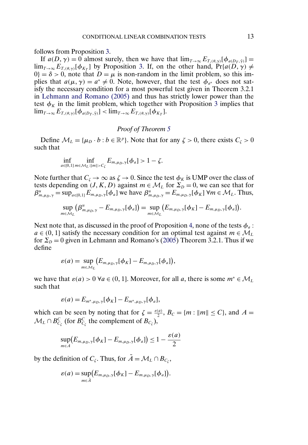<span id="page-12-0"></span>follows from Proposition [3.](#page-3-0)

If  $a(D, \gamma) = 0$  almost surely, then we have that  $\lim_{T \to \infty} E_{T, (\theta, \gamma)}[\phi_{a(D_T, \hat{\gamma})}] =$  $\lim_{T\to\infty} E_{T,(\theta,\gamma)}[\phi_{K_T}]$  by Proposition [3.](#page-3-0) If, on the other hand,  $Pr\{a(D,\gamma) \neq$  $0$ } =  $\delta$  > 0, note that  $D = \mu$  is non-random in the limit problem, so this implies that  $a(\mu, \gamma) = a^* \neq 0$ . Note, however, that the test  $\phi_{a^*}$  does not satisfy the necessary condition for a most powerful test given in Theorem 3.2.1 in [Lehmann and Romano \(2005\)](#page-16-0) and thus has strictly lower power than the test  $\phi_K$  in the limit problem, which together with Proposition [3](#page-3-0) implies that  $\lim_{T\to\infty} E_{T,(\theta,\gamma)}[\phi_{a(D_T,\hat{\gamma})}] < \lim_{T\to\infty} E_{T,(\theta,\gamma)}[\phi_{K_T}].$ 

#### *Proof of Theorem [5](#page-5-0)*

Define  $M_L = {\mu_D \cdot b : b \in \mathbb{R}^p}$ . Note that for any  $\zeta > 0$ , there exists  $C_{\zeta} > 0$ such that

$$
\inf_{a\in[0,1]} \inf_{m\in\mathcal{M}_L:\|m\|>C_{\zeta}} E_{m,\mu_D,\gamma}[\phi_a]>1-\zeta.
$$

Note further that  $C_{\zeta} \to \infty$  as  $\zeta \to 0$ . Since the test  $\phi_K$  is UMP over the class of tests depending on  $(J, K, D)$  against  $m \in M_L$  for  $\Sigma_D = 0$ , we can see that for  $\beta_{m,\mu_D,\gamma}^u = \sup_{a \in [0,1]} E_{m,\mu_D,\gamma}[\phi_a]$  we have  $\beta_{m,\mu_D,\gamma}^u = E_{m,\mu_D,\gamma}[\phi_K] \forall m \in \mathcal{M}_L$ . Thus,

$$
\sup_{m\in\mathcal{M}_L}(\beta_{m,\mu_D,\gamma}^u-E_{m,\mu_D,\gamma}[\phi_a])=\sup_{m\in\mathcal{M}_L}(E_{m,\mu_D,\gamma}[\phi_K]-E_{m,\mu_D,\gamma}[\phi_a]).
$$

Next note that, as discussed in the proof of Proposition [4,](#page-5-0) none of the tests  $\phi_a$ :  $a \in (0, 1]$  satisfy the necessary condition for an optimal test against  $m \in \mathcal{M}_L$ for  $\Sigma_D = 0$  given in Lehmann and Romano's [\(2005\)](#page-16-0) Theorem 3.2.1. Thus if we define

$$
\varepsilon(a) = \sup_{m \in \mathcal{M}_L} (E_{m,\mu_D,\gamma}[\phi_K] - E_{m,\mu_D,\gamma}[\phi_a]),
$$

we have that  $\varepsilon(a) > 0$   $\forall a \in (0, 1]$ . Moreover, for all a, there is some  $m^* \in \mathcal{M}_L$ such that

$$
\varepsilon(a) = E_{m^*,\mu_D,\gamma}[\phi_K] - E_{m^*,\mu_D,\gamma}[\phi_a],
$$

which can be seen by noting that for  $\zeta = \frac{\varepsilon(a)}{2}$ ,  $B_C = \{m : ||m|| \le C\}$ , and  $A =$  $\mathcal{M}_L \cap B_{C_{\zeta}}^C$  (for  $B_{C_{\zeta}}^C$  the complement of  $B_{C_{\zeta}}$ ),

$$
\sup_{m\in A} (E_{m,\mu_D,\gamma}[\phi_K] - E_{m,\mu_D,\gamma}[\phi_a]) \leq 1 - \frac{\varepsilon(a)}{2}
$$

by the definition of  $C_\zeta$ . Thus, for  $\tilde{A} = \mathcal{M}_L \cap B_{C_\zeta}$ ,

$$
\varepsilon(a) = \sup_{m \in \tilde{A}} \bigl( E_{m,\mu_D,\gamma}[\phi_K] - E_{m,\mu_D,\gamma}[\phi_a] \bigr).
$$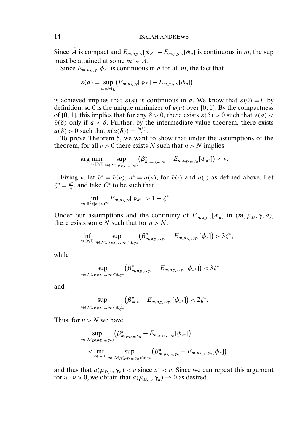Since  $\tilde{A}$  is compact and  $E_{m,\mu_D,\gamma}[\phi_K] - E_{m,\mu_D,\gamma}[\phi_a]$  is continuous in m, the sup must be attained at some  $m^* \in \tilde{A}$ .

Since  $E_{m,\mu_D,\gamma}[\phi_a]$  is continuous in a for all m, the fact that

$$
\varepsilon(a) = \sup_{m \in \mathcal{M}_L} \big( E_{m,\mu_D,\gamma}[\phi_K] - E_{m,\mu_D,\gamma}[\phi_a] \big)
$$

is achieved implies that  $\varepsilon(a)$  is continuous in a. We know that  $\varepsilon(0) = 0$  by definition, so 0 is the unique minimizer of  $\varepsilon(a)$  over [0, 1]. By the compactness of [0, 1], this implies that for any  $\delta > 0$ , there exists  $\bar{\varepsilon}(\delta) > 0$  such that  $\varepsilon(a) <$  $\bar{\varepsilon}(\delta)$  only if  $a < \delta$ . Further, by the intermediate value theorem, there exists  $a(\delta) > 0$  such that  $\varepsilon(a(\delta)) = \frac{\tilde{\varepsilon}(\delta)}{2}$ .

To prove Theorem [5,](#page-5-0) we want to show that under the assumptions of the theorem, for all  $\nu > 0$  there exists N such that  $n > N$  implies

$$
\arg\min_{a\in[0,1]}\sup_{m\in\mathcal{M}_D(\mu_{D,n},\gamma_n)}\left(\beta^u_{m,\mu_{D,n},\gamma_n}-E_{m,\mu_{D,n},\gamma_n}[\phi_{a^*}]\right)<\nu.
$$

Fixing  $\nu$ , let  $\bar{\varepsilon}^* = \bar{\varepsilon}(\nu)$ ,  $a^* = a(\nu)$ , for  $\bar{\varepsilon}(\cdot)$  and  $a(\cdot)$  as defined above. Let  $\zeta^* = \frac{\bar{\varepsilon}^*}{4}$ , and take  $C^*$  to be such that

$$
\inf_{m\in\mathbb{R}^k:\|m\|>C^*}E_{m,\mu_D,\gamma}[\phi_{a^*}]>1-\zeta^*.
$$

Under our assumptions and the continuity of  $E_{m,\mu_D,\gamma}[\phi_a]$  in  $(m,\mu_D,\gamma,a)$ , there exists some  $\overrightarrow{N}$  such that for  $n>N$ ,

$$
\inf_{a\in [v,1]} \sup_{m\in\mathcal{M}_D(\mu_{D,n},\gamma_n)\cap B_{\mathcal{C}^*}} (\beta^u_{m,\mu_{D,n},\gamma_n}-E_{m,\mu_{D,n},\gamma_n}[\phi_a])>3\zeta^*,
$$

while

$$
\sup_{m \in \mathcal{M}_D(\mu_{D,n}, \gamma_n) \cap B_{\mathcal{C}^*}} \left( \beta^u_{m, \mu_{D,n}, \gamma_n} - E_{m, \mu_{D,n}, \gamma_n}[\phi_{a^*}] \right) < 3 \zeta^*
$$

and

$$
\sup_{m\in\mathcal{M}_{D}(\mu_{D,n},\gamma_n)\cap B_{C^*}^C}\left(\beta_{m,n}^u-E_{m,\mu_{D,n},\gamma_n}[\phi_{a^*}]\right)<2\zeta^*.
$$

Thus, for  $n > N$  we have

$$
\sup_{m \in \mathcal{M}_D(\mu_{D,n}, \gamma_n)} (\beta_{m, \mu_{D,n}, \gamma_n}^u - E_{m, \mu_{D,n}, \gamma_n}[\phi_{a^*}])
$$
\n
$$
< \inf_{a \in [\nu, 1]} \sup_{m \in \mathcal{M}_D(\mu_{D,n}, \gamma_n) \cap B_{C^*}} (\beta_{m, \mu_{D,n}, \gamma_n}^u - E_{m, \mu_{D,n}, \gamma_n}[\phi_a])
$$

and thus that  $a(\mu_{D,n}, \gamma_n) < \nu$  since  $a^* < \nu$ . Since we can repeat this argument for all  $\nu > 0$ , we obtain that  $a(\mu_{D,n}, \gamma_n) \to 0$  as desired.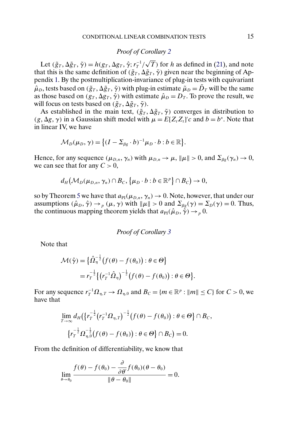# *Proof of Corollary [2](#page-6-0)*

Let  $(\tilde{g}_T, \Delta \tilde{g}_T, \tilde{\gamma}) = h(g_T, \Delta g_T, \hat{\gamma}; r_T^{-1})$ √ T) for h as defined in  $(21)$ , and note that this is the same definition of  $(\tilde{g}_T, \Delta \tilde{g}_T, \tilde{\gamma})$  given near the beginning of Appendix [1.](#page-0-0) By the postmultiplication-invariance of plug-in tests with equivariant  $\hat{\mu}_D$ , tests based on  $(\tilde{g}_T, \Delta \tilde{g}_T, \tilde{\gamma})$  with plug-in estimate  $\tilde{\mu}_D = \tilde{D}_T$  will be the same as those based on  $(g_T, \Delta g_T, \hat{\gamma})$  with estimate  $\hat{\mu}_D = D_T$ . To prove the result, we will focus on tests based on  $(\tilde{g}_T, \Delta \tilde{g}_T, \tilde{\gamma})$ .

As established in the main text,  $(\tilde{g}_T, \Delta \tilde{g}_T, \tilde{\gamma})$  converges in distribution to  $(g, \Delta g, \gamma)$  in a Gaussian shift model with  $\mu = E[Z_t Z_t]'c$  and  $b = b^*$ . Note that in linear IV, we have

$$
\mathcal{M}_D(\mu_D, \gamma) = \big\{ (I - \Sigma_{\beta g} \cdot b)^{-1} \mu_D \cdot b : b \in \mathbb{R} \big\}.
$$

Hence, for any sequence  $(\mu_{D,n}, \gamma_n)$  with  $\mu_{D,n} \to \mu$ ,  $\|\mu\| > 0$ , and  $\Sigma_{\beta g}(\gamma_n) \to 0$ , we can see that for any  $C > 0$ ,

$$
d_H(\mathcal{M}_D(\mu_{D,n},\gamma_n)\cap B_C,\big\{\mu_D\cdot b: b\in\mathbb{R}^p\big\}\cap B_C\big)\to 0,
$$

so by Theorem [5](#page-5-0) we have that  $a_{PI}(\mu_{D,n}, \gamma_n) \to 0$ . Note, however, that under our assumptions  $(\hat{\mu}_D, \hat{\gamma}) \rightarrow_p (\mu, \gamma)$  with  $\|\mu\| > 0$  and  $\Sigma_{\beta g}(\gamma) = \Sigma_D(\gamma) = 0$ . Thus, the continuous mapping theorem yields that  $a_{PI}(\hat{\mu}_D, \hat{\gamma}) \rightarrow_{p} 0$ .

*Proof of Corollary [3](#page-6-0)*

Note that

$$
\mathcal{M}(\hat{\gamma}) = \left\{ \hat{\Omega}_{\eta}^{-\frac{1}{2}} \big( f(\theta) - f(\theta_0) \big) : \theta \in \Theta \right\}
$$
  
=  $r_T^{-\frac{1}{2}} \left\{ \big( r_T^{-1} \hat{\Omega}_{\eta} \big)^{-\frac{1}{2}} \big( f(\theta) - f(\theta_0) \big) : \theta \in \Theta \right\}.$ 

For any sequence  $r_T^{-1}\Omega_{\eta,T} \to \Omega_{\eta,0}$  and  $B_C = \{m \in \mathbb{R}^p : ||m|| \le C\}$  for  $C > 0$ , we have that

$$
\lim_{T \to \infty} d_H\left(\left\{r_T^{-\frac{1}{2}}(r_T^{-1}\Omega_{\eta,T})^{-\frac{1}{2}}(f(\theta) - f(\theta_0)) : \theta \in \Theta\right\} \cap B_C,
$$
\n
$$
\left\{r_T^{-\frac{1}{2}}\Omega_{\eta,0}^{-\frac{1}{2}}(f(\theta) - f(\theta_0)) : \theta \in \Theta\right\} \cap B_C = 0.
$$

From the definition of differentiability, we know that

$$
\lim_{\theta \to \theta_0} \frac{f(\theta) - f(\theta_0) - \frac{\partial}{\partial \theta'} f(\theta_0)(\theta - \theta_0)}{\|\theta - \theta_0\|} = 0.
$$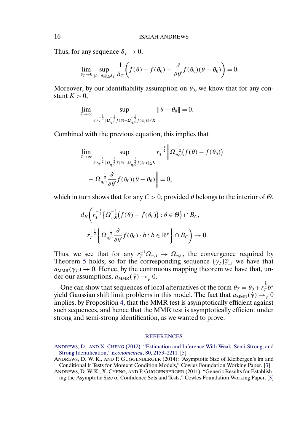Thus, for any sequence  $\delta_{\tau} \rightarrow 0$ ,

$$
\lim_{\delta_T \to 0} \sup_{\|\theta - \theta_0\| \le \delta_T} \frac{1}{\delta_T} \bigg( f(\theta) - f(\theta_0) - \frac{\partial}{\partial \theta'} f(\theta_0) (\theta - \theta_0) \bigg) = 0.
$$

Moreover, by our identifiability assumption on  $\theta_0$ , we know that for any constant  $K > 0$ ,

$$
\lim_{T\to\infty}\sup_{\theta: r_T^{-\frac{1}{2}}\|Q_{\eta,\theta}^{-\frac{1}{2}}f(\theta)-Q_{\eta,\theta}^{-\frac{1}{2}}f(\theta_0)\|\leq K}\|\theta-\theta_0\|=0.
$$

Combined with the previous equation, this implies that

$$
\lim_{T \to \infty} \sup_{\theta: r_T^{-\frac{1}{2}} \| \Omega_{\eta,0}^{-\frac{1}{2}} f(\theta) - \Omega_{\eta,0}^{-\frac{1}{2}} f(\theta_0) \| \le K} r_T^{-\frac{1}{2}} \left\| \Omega_{\eta,0}^{-\frac{1}{2}} (f(\theta) - f(\theta_0)) \right\|
$$
  
-  $\Omega_{\eta,0}^{-\frac{1}{2}} \frac{\partial}{\partial \theta'} f(\theta_0) (\theta - \theta_0) \right\| = 0,$ 

which in turn shows that for any  $C > 0$ , provided  $\theta$  belongs to the interior of  $\Theta$ ,

$$
d_H\bigg(r_T^{-\frac{1}{2}}\big\{\Omega_{\eta,0}^{-\frac{1}{2}}\big(f(\theta)-f(\theta_0)\big):\theta\in\Theta\big\}\cap B_C,
$$
  

$$
r_T^{-\frac{1}{2}}\bigg\{\Omega_{\eta,0}^{-\frac{1}{2}}\frac{\partial}{\partial\theta'}f(\theta_0)\cdot b:b\in\mathbb{R}^p\bigg\}\cap B_C\bigg)\to 0.
$$

Thus, we see that for any  $r_T^{-1}\Omega_{\eta,T} \to \Omega_{\eta,0}$ , the convergence required by Theorem [5](#page-5-0) holds, so for the corresponding sequence  $\{\gamma_T\}_{T=1}^{\infty}$  we have that  $a_{MMR}(\gamma_T) \rightarrow 0$ . Hence, by the continuous mapping theorem we have that, under our assumptions,  $a_{\text{MMR}}(\hat{\gamma}) \rightarrow_{p} 0$ .

One can show that sequences of local alternatives of the form  $\theta_T = \theta_0 + r_T^{\frac{1}{2}}b^*$ yield Gaussian shift limit problems in this model. The fact that  $a_{\text{MMR}}(\hat{\gamma}) \rightarrow_{p} 0$ implies, by Proposition [4,](#page-5-0) that the MMR test is asymptotically efficient against such sequences, and hence that the MMR test is asymptotically efficient under strong and semi-strong identification, as we wanted to prove.

#### **[REFERENCES](http://www.e-publications.org/srv/ecta/linkserver/setprefs?rfe_id=urn:sici%2F0012-9682%28201611%2984%3A6%2B%3C1%3ASTCLCT%3E2.0.CO%3B2-7)**

<span id="page-15-0"></span>

ANDREWS, D., AND X. CHENG [\(2012\): "Estimation and Inference With Weak, Semi-Strong, and](http://www.e-publications.org/srv/ecta/linkserver/openurl?rft_dat=bib:1/AndrewsCheng2012&rfe_id=urn:sici%2F0012-9682%28201611%2984%3A6%2B%3C1%3ASTCLCT%3E2.0.CO%3B2-7) [Strong Identification,"](http://www.e-publications.org/srv/ecta/linkserver/openurl?rft_dat=bib:1/AndrewsCheng2012&rfe_id=urn:sici%2F0012-9682%28201611%2984%3A6%2B%3C1%3ASTCLCT%3E2.0.CO%3B2-7) *Econometrica*, 80, 2153–2211. [\[5\]](#page-4-0)

ANDREWS, D. W. K., AND P. GUGGENBERGER (2014): "Asymptotic Size of Kleibergen's lm and Conditional lr Tests for Moment Condition Models," Cowles Foundation Working Paper. [\[3\]](#page-2-0)

ANDREWS, D. W. K., X. CHENG, AND P. GUGGENBERGER (2011): "Generic Results for Establishing the Asymptotic Size of Confidence Sets and Tests," Cowles Foundation Working Paper. [\[3\]](#page-2-0)